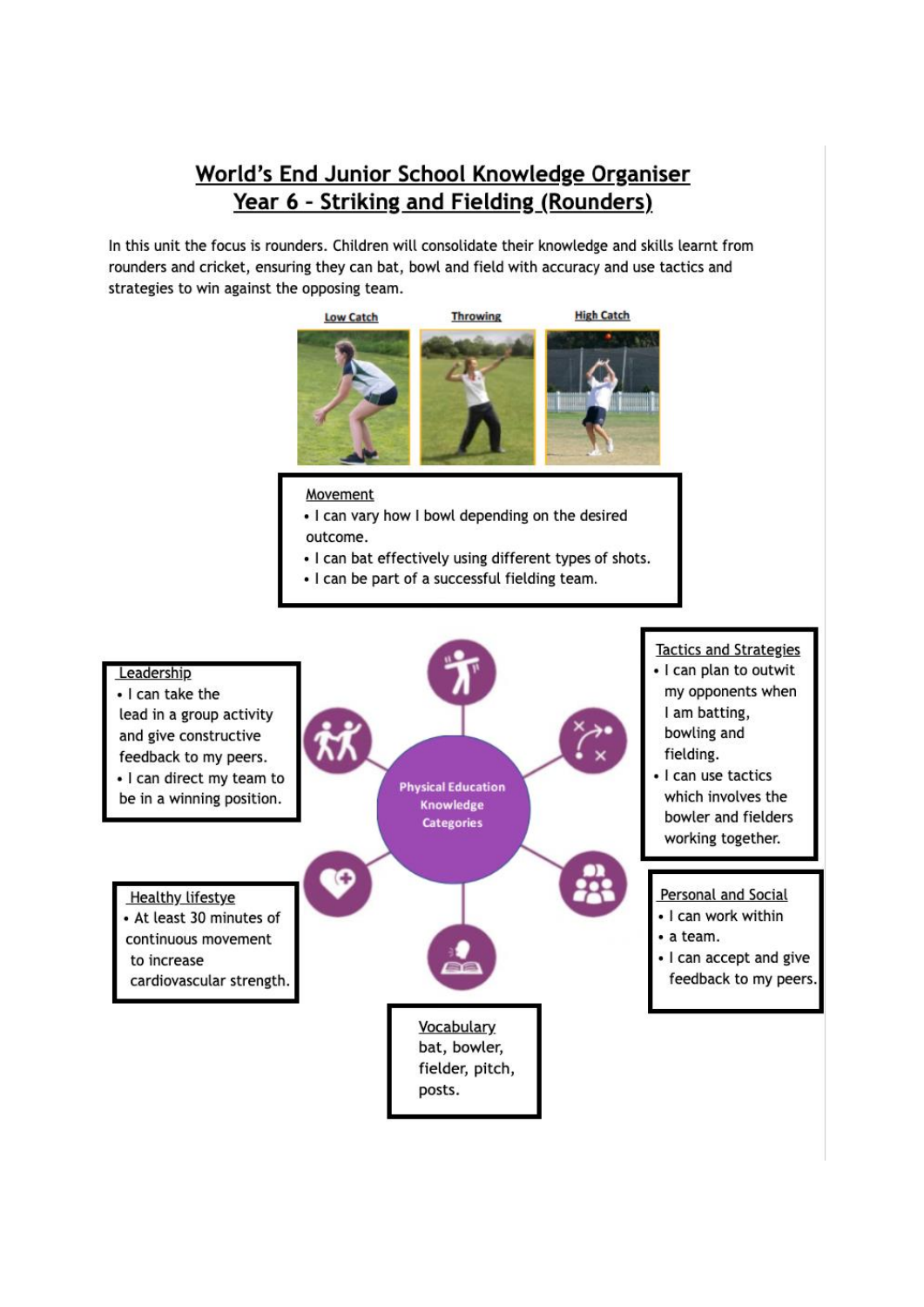## World's End Junior School Knowledge Organiser Year 6 - Striking and Fielding (Rounders)

In this unit the focus is rounders. Children will consolidate their knowledge and skills learnt from rounders and cricket, ensuring they can bat, bowl and field with accuracy and use tactics and strategies to win against the opposing team.